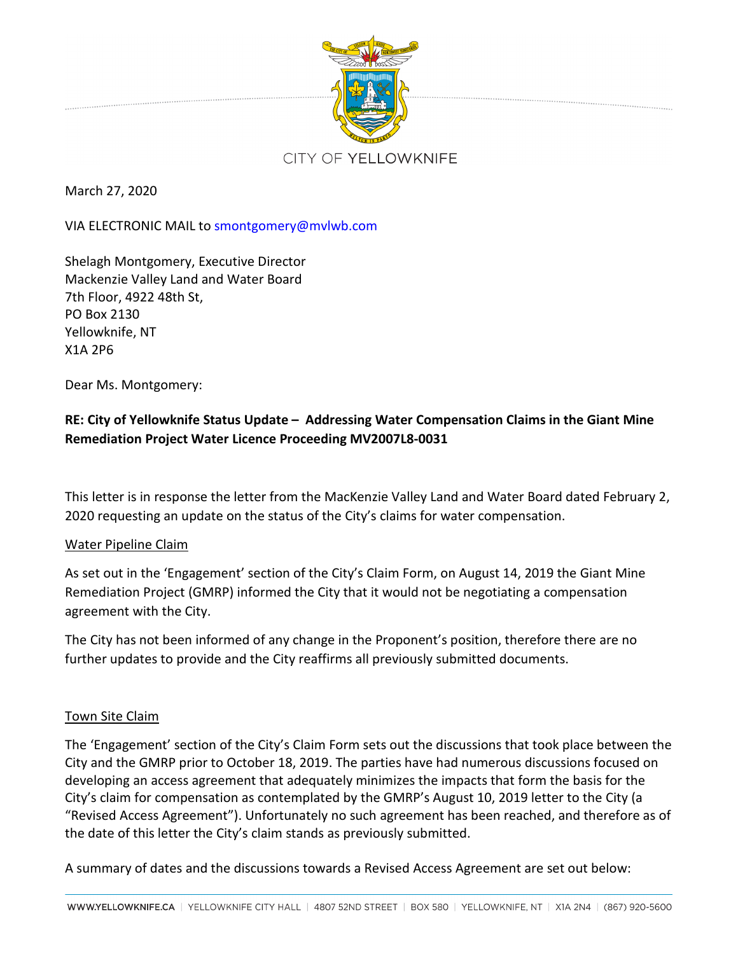

March 27, 2020

VIA ELECTRONIC MAIL to smontgomery@mvlwb.com

Shelagh Montgomery, Executive Director Mackenzie Valley Land and Water Board 7th Floor, 4922 48th St, PO Box 2130 Yellowknife, NT X1A 2P6

Dear Ms. Montgomery:

## **RE: City of Yellowknife Status Update – Addressing Water Compensation Claims in the Giant Mine Remediation Project Water Licence Proceeding MV2007L8-0031**

This letter is in response the letter from the MacKenzie Valley Land and Water Board dated February 2, 2020 requesting an update on the status of the City's claims for water compensation.

## Water Pipeline Claim

As set out in the 'Engagement' section of the City's Claim Form, on August 14, 2019 the Giant Mine Remediation Project (GMRP) informed the City that it would not be negotiating a compensation agreement with the City.

The City has not been informed of any change in the Proponent's position, therefore there are no further updates to provide and the City reaffirms all previously submitted documents.

## Town Site Claim

The 'Engagement' section of the City's Claim Form sets out the discussions that took place between the City and the GMRP prior to October 18, 2019. The parties have had numerous discussions focused on developing an access agreement that adequately minimizes the impacts that form the basis for the City's claim for compensation as contemplated by the GMRP's August 10, 2019 letter to the City (a "Revised Access Agreement"). Unfortunately no such agreement has been reached, and therefore as of the date of this letter the City's claim stands as previously submitted.

A summary of dates and the discussions towards a Revised Access Agreement are set out below: